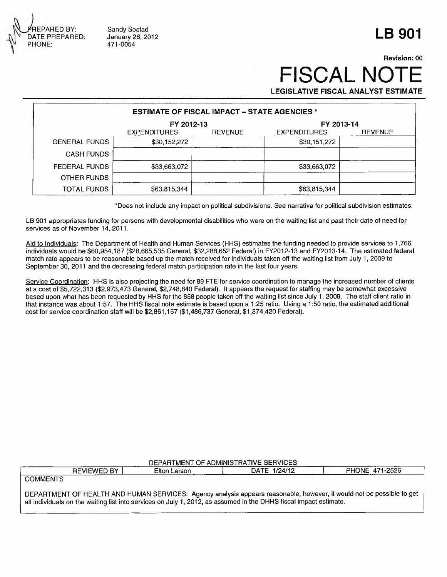REPARED BY: DATE PREPARED: PHONE:

Sandy Sostad January 26, 2012 471-0054

## **LB 901**

## **Revision: 00 FISCAL NO LEGISLATIVE FISCAL ANALYST ESTIMATE**

**ESTIMATE OF FISCAL IMPACT - STATE AGENCIES \* FY 2012-13**<br>EXPENDITURES REVENUE EXPENDITURES EXPENDITURES REVENUE EXPENDITURES REVENUE GENERAL FUNDS \$30,152,272 \$30,152,272 \$30,151,272 CASH FUNDS FEDERAL FUNDS \$33,663,072 \$33,663,072 \$33,663,072 OTHER FUNDS TOTAL FUNDS \$63,815,344 \$63,815,344 \$63,815,344

' Does not include any impact on political subdivisions. See narrative for political subdivision estimates.

LB 901 appropriates funding for persons with developmental disabilities who were on the waiting list and past their date of need for services as of November 14, 2011.

Aid to Individuals: The Department of Health and Human Services (HHS) estimates the funding needed to provide services to 1,766 individuals would be \$60,954,187 (\$28,665,535 General, \$32,288,652 Federal) in FY2012-13 and FY2013-14. The estimated federal match rate appears to be reasonable based up the match received for individuals taken off the waiting list from July 1, 2009 to September 30, 2011 and the decreasing federal match participation rate in the last four years.

Service Coordination: HHS is also projecting the need for 89 FTE for service coordination to manage the increased number of clients at a cost of \$5,722,313 (\$2,973,473 General, \$2,748,840 Federal). It appears the request for staffing may be somewhat excessive based upon what has been requested by HHS for the 858 people taken off the waiting list since July 1, 2009. The staff client ratio in that instance was about 1:57. The HHS fiscal note estimate is based upon a 1:25 ratio. Using a 1:50 ratio, the estimated additional cost for service coordination staff will be \$2,861,157 (\$1,486,737 General, \$1,374,420 Federal).

| DEPARTMENT OF ADMINISTRATIVE SERVICES |                    |              |              |                                                                                                                 |  |  |  |  |  |
|---------------------------------------|--------------------|--------------|--------------|-----------------------------------------------------------------------------------------------------------------|--|--|--|--|--|
|                                       | <b>REVIEWED BY</b> | Elton Larson | DATE 1/24/12 | PHONE 471-2526                                                                                                  |  |  |  |  |  |
| <b>COMMENTS</b>                       |                    |              |              |                                                                                                                 |  |  |  |  |  |
|                                       |                    |              |              | DEDADTUENT OF UEALTH AND HIJMAN CEDVICES. Associated process recognable boughts it would not be possible to get |  |  |  |  |  |

DEPARTMENT OF HEALTH AND HUMAN SERVICES: Agency analysis appears reasonable, however, it would not be possible to get all individuals on the waiting list into services on July 1, 2012, as assumed in the DHHS fiscal impact estimate.